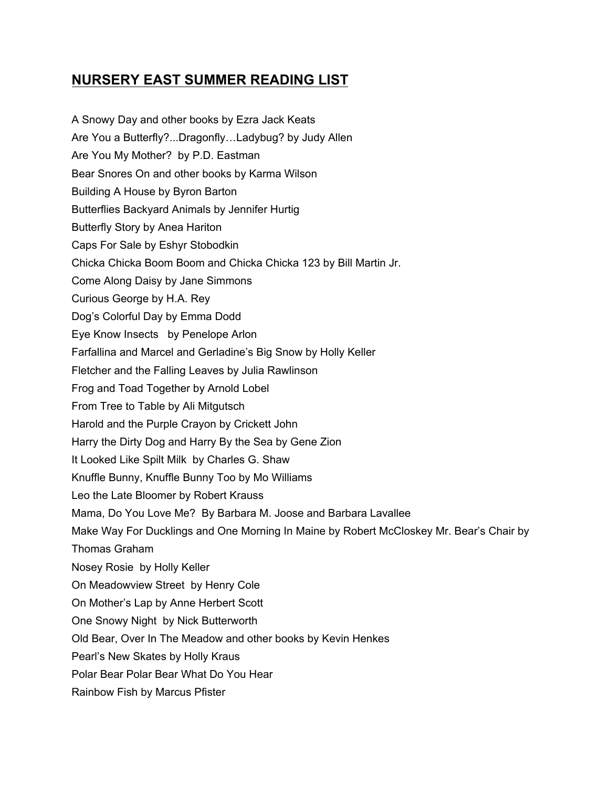## **NURSERY EAST SUMMER READING LIST**

A Snowy Day and other books by Ezra Jack Keats Are You a Butterfly?...Dragonfly…Ladybug? by Judy Allen Are You My Mother? by P.D. Eastman Bear Snores On and other books by Karma Wilson Building A House by Byron Barton Butterflies Backyard Animals by Jennifer Hurtig Butterfly Story by Anea Hariton Caps For Sale by Eshyr Stobodkin Chicka Chicka Boom Boom and Chicka Chicka 123 by Bill Martin Jr. Come Along Daisy by Jane Simmons Curious George by H.A. Rey Dog's Colorful Day by Emma Dodd Eye Know Insects by Penelope Arlon Farfallina and Marcel and Gerladine's Big Snow by Holly Keller Fletcher and the Falling Leaves by Julia Rawlinson Frog and Toad Together by Arnold Lobel From Tree to Table by Ali Mitgutsch Harold and the Purple Crayon by Crickett John Harry the Dirty Dog and Harry By the Sea by Gene Zion It Looked Like Spilt Milk by Charles G. Shaw Knuffle Bunny, Knuffle Bunny Too by Mo Williams Leo the Late Bloomer by Robert Krauss Mama, Do You Love Me? By Barbara M. Joose and Barbara Lavallee Make Way For Ducklings and One Morning In Maine by Robert McCloskey Mr. Bear's Chair by Thomas Graham Nosey Rosie by Holly Keller On Meadowview Street by Henry Cole On Mother's Lap by Anne Herbert Scott One Snowy Night by Nick Butterworth Old Bear, Over In The Meadow and other books by Kevin Henkes Pearl's New Skates by Holly Kraus Polar Bear Polar Bear What Do You Hear Rainbow Fish by Marcus Pfister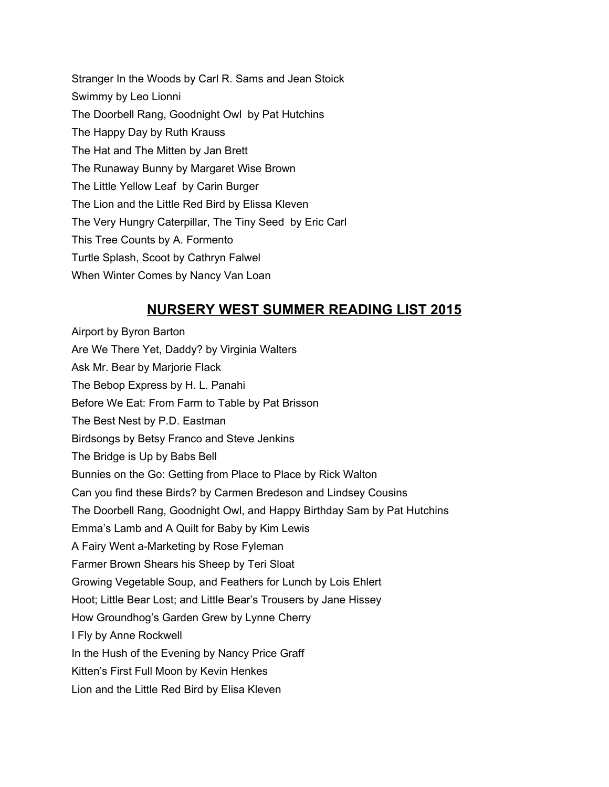Stranger In the Woods by Carl R. Sams and Jean Stoick Swimmy by Leo Lionni The Doorbell Rang, Goodnight Owl by Pat Hutchins The Happy Day by Ruth Krauss The Hat and The Mitten by Jan Brett The Runaway Bunny by Margaret Wise Brown The Little Yellow Leaf by Carin Burger The Lion and the Little Red Bird by Elissa Kleven The Very Hungry Caterpillar, The Tiny Seed by Eric Carl This Tree Counts by A. Formento Turtle Splash, Scoot by Cathryn Falwel When Winter Comes by Nancy Van Loan

## **NURSERY WEST SUMMER READING LIST 2015**

Airport by Byron Barton Are We There Yet, Daddy? by Virginia Walters Ask Mr. Bear by Marjorie Flack The Bebop Express by H. L. Panahi Before We Eat: From Farm to Table by Pat Brisson The Best Nest by P.D. Eastman Birdsongs by Betsy Franco and Steve Jenkins The Bridge is Up by Babs Bell Bunnies on the Go: Getting from Place to Place by Rick Walton Can you find these Birds? by Carmen Bredeson and Lindsey Cousins The Doorbell Rang, Goodnight Owl, and Happy Birthday Sam by Pat Hutchins Emma's Lamb and A Quilt for Baby by Kim Lewis A Fairy Went a-Marketing by Rose Fyleman Farmer Brown Shears his Sheep by Teri Sloat Growing Vegetable Soup, and Feathers for Lunch by Lois Ehlert Hoot; Little Bear Lost; and Little Bear's Trousers by Jane Hissey How Groundhog's Garden Grew by Lynne Cherry I Fly by Anne Rockwell In the Hush of the Evening by Nancy Price Graff Kitten's First Full Moon by Kevin Henkes Lion and the Little Red Bird by Elisa Kleven